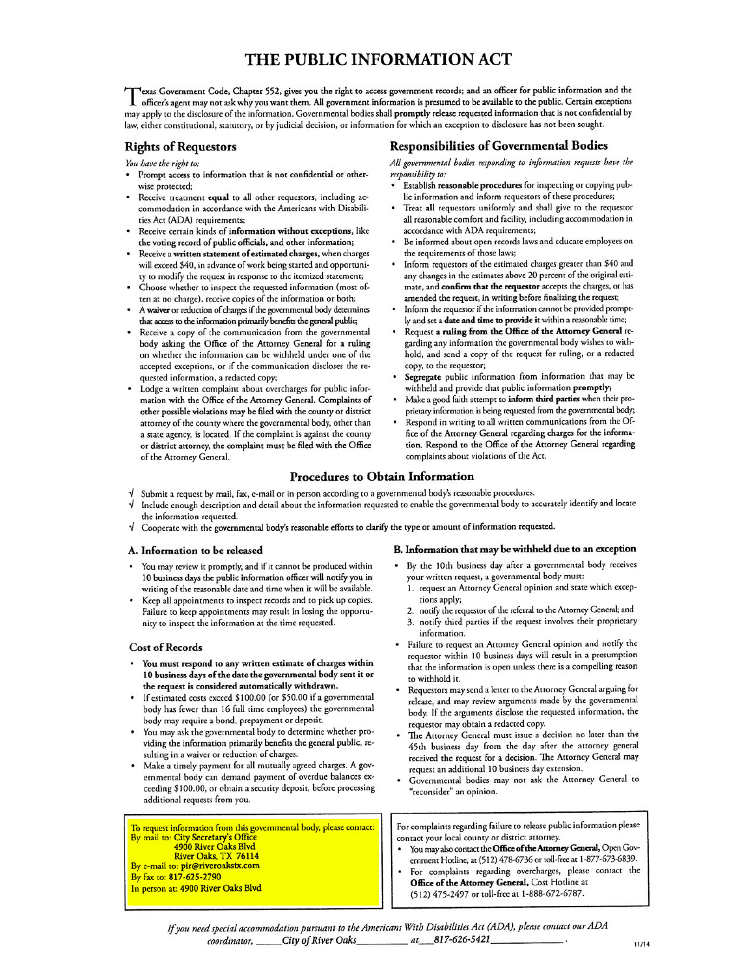# THE PUBLIC INFORMATION ACT

exas Government Code, Chapter 552, gives you the right to access government records; and an officer for public information and the 1 officer's agent may not ask why you want them. All government information is presumed to be available to the public. Certain exceptions may apply to the disclosure of the information. Governmental bodies shall promptly release requested information that is not confidential by law, either constitutional, statutory, or by judicial decision, or information for which an exception to disclosure has not been sought.

# **Rights of Requestors**

You have the right to:

- Prompt access to information that is not confidential or otherwise protected;
- Receive treatment equal to all other requestors, including accommodation in accordance with the Americans with Disabilities Act (ADA) requirements;
- Receive certain kinds of information without exceptions, like the voting record of public officials, and other information;
- Receive a written statement of estimated charges, when charges will exceed \$40, in advance of work being started and opportunity to modify the request in response to the itemized statement;
- Choose whether to inspect the requested information (most often at no charge), receive copies of the information or both;
- A waiver or reduction of charges if the governmental body determines that access to the information primarily benefits the general public;
- Receive a copy of the communication from the governmental body asking the Office of the Attorney General for a ruling on whether the information can be withheld under one of the accepted exceptions, or if the communication discloses the requested information, a redacted copy;
- Lodge a written complaint about overcharges for public information with the Office of the Attorney General. Complaints of other possible violations may be filed with the county or district attorney of the county where the governmental body, other than a state agency, is located. If the complaint is against the county or district attorney, the complaint must be filed with the Office of the Attorney General.

## **Responsibilities of Governmental Bodies**

All governmental bodies responding to information requests have the responsibility to:

- Establish reasonable procedures for inspecting or copying public information and inform requestors of these procedures;
- Treat all requestors uniformly and shall give to the requestor all reasonable comfort and facility, including accommodation in accordance with ADA requirements;
- Be informed about open records laws and educate employees on the requirements of those laws;
- Inform requestors of the estimated charges greater than \$40 and any changes in the estimates above 20 percent of the original estimate, and confirm that the requestor accepts the charges, or has amended the request, in writing before finalizing the request;
- Inform the requestor if the information cannot be provided promptly and set a date and time to provide it within a reasonable time;
- Request a ruling from the Office of the Attorney General regarding any information the governmental body wishes to withhold, and send a copy of the request for ruling, or a redacted copy, to the requestor;
- Segregate public information from information that may be withheld and provide that public information promptly;
- Make a good faith attempt to inform third parties when their proprietary information is being requested from the governmental body;
- Respond in writing to all written communications from the Office of the Attorney General regarding charges for the information. Respond to the Office of the Attorney General regarding complaints about violations of the Act.

# **Procedures to Obtain Information**

- Submit a request by mail, fax, e-mail or in person according to a governmental body's reasonable procedures.
- Include enough description and detail about the information requested to enable the governmental body to accurately identify and locate the information requested.
- Cooperate with the governmental body's reasonable efforts to clarify the type or amount of information requested.

### A. Information to be released

- You may review it promptly, and if it cannot be produced within 10 business days the public information officer will notify you in writing of the reasonable date and time when it will be available.
- Keep all appointments to inspect records and to pick up copies. Failure to keep appointments may result in losing the opportunity to inspect the information at the time requested.

### **Cost of Records**

- You must respond to any written estimate of charges within 10 business days of the date the governmental body sent it or the request is considered automatically withdrawn.
- If estimated costs exceed \$100.00 (or \$50.00 if a governmental body has fewer than 16 full time employees) the governmental body may require a bond, prepayment or deposit.
- You may ask the governmental body to determine whether providing the information primarily benefits the general public, resulting in a waiver or reduction of charges.
- Make a timely payment for all mutually agreed charges. A governmental body can demand payment of overdue balances exceeding \$100.00, or obtain a security deposit, before processing additional requests from you.

To request information from this governmental body, please contact: By mail to: City Secretary's Office 4900 River Oaks Blvd River Oaks, TX 76114 By e-mail to: pir@riveroakstx.com

By fax to: 817-625-2790 In person at: 4900 River Oaks Blvd

#### B. Information that may be withheld due to an exception

- By the 10th business day after a governmental body receives your written request, a governmental body must:
- 1. request an Attorney General opinion and state which exceptions apply;
- 2. notify the requestor of the referral to the Attorney General; and
- 3. notify third parties if the request involves their proprietary information.
- Failure to request an Attorney General opinion and notify the requestor within 10 business days will result in a presumption that the information is open unless there is a compelling reason to withhold it.
- Requestors may send a letter to the Attorney General arguing for release, and may review arguments made by the governmental body. If the arguments disclose the requested information, the requestor may obtain a redacted copy.
- The Attorney General must issue a decision no later than the 45th business day from the day after the attorney general received the request for a decision. The Attorney General may request an additional 10 business day extension.
- Governmental bodies may not ask the Attorney General to "reconsider" an opinion.

For complaints regarding failure to release public information please contact your local county or district attorney.

- You may also contact the Office of the Attorney General, Open Government Hotline, at (512) 478-6736 or toll-free at 1-877-673-6839.
- For complaints regarding overcharges, please contact the Office of the Attorney General, Cost Hotline at (512) 475-2497 or toll-free at 1-888-672-6787.

If you need special accommodation pursuant to the Americans With Disabilities Act (ADA), please contact our ADA coordinator, \_\_\_\_\_City of River Oaks\_\_\_\_\_\_\_\_\_\_\_ at \_\_\_817-626-5421\_\_\_\_\_\_\_\_\_\_\_\_\_\_\_